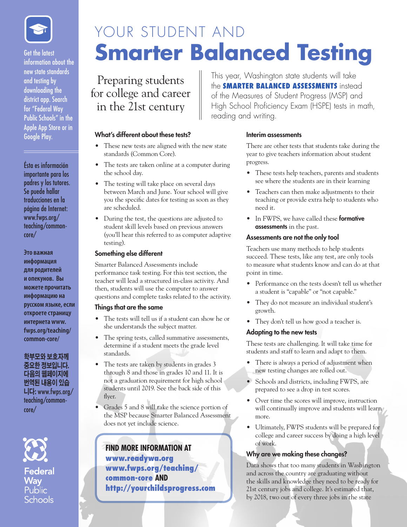

Get the latest information about the new state standards and testing by downloading the district app. Search for "Federal Way Public Schools" in the Apple App Store or in Google Play.

Ésta es información importante para los padres y los tutores. Se puede hallar traducciones en la página de Internet: www.fwps.org/ teaching/commoncore/

**Это важная информация для родителей и опекунов. Вы можете прочитать информацию на русском языке, если откроете страницу интернета www. fwps.org/teaching/ common-core/**

**학부모와 보호자께 중요한 정보입니다. 다음의 웹페이지에 번역된 내용이 있습 니다:** www.fwps.org/ teaching/commoncore/



Federal Wav Schools

# YOUR STUDENT AND **Smarter Balanced Testing**

reading and writing.

Preparing students for college and career in the 21st century

# What's different about these tests?

- These new tests are aligned with the new state standards (Common Core).
- The tests are taken online at a computer during the school day.
- The testing will take place on several days between March and June. Your school will give you the specific dates for testing as soon as they are scheduled.
- During the test, the questions are adjusted to student skill levels based on previous answers (you'll hear this referred to as computer adaptive testing).

#### Something else different

Smarter Balanced Assessments include performance task testing. For this test section, the teacher will lead a structured in-class activity. And then, students will use the computer to answer questions and complete tasks related to the activity.

#### Things that are the same

- The tests will tell us if a student can show he or she understands the subject matter.
- The spring tests, called summative assessments, determine if a student meets the grade level standards.
- The tests are taken by students in grades 3 through 8 and those in grades 10 and 11. It is not a graduation requirement for high school students until 2019. See the back side of this flyer.
- Grades 5 and 8 will take the science portion of the MSP because Smarter Balanced Assessment does not yet include science.

**FIND MORE INFORMATION AT** www.readywa.org www.fwps.org/teaching/ common-core **AND** 

http://yourchildsprogress.com

#### Interim assessments

This year, Washington state students will take the SMARTER BALANCED ASSESSMENTS instead of the Measures of Student Progress (MSP) and High School Proficiency Exam (HSPE) tests in math,

> There are other tests that students take during the year to give teachers information about student progress.

- These tests help teachers, parents and students see where the students are in their learning
- • Teachers can then make adjustments to their teaching or provide extra help to students who need it.
- In FWPS, we have called these formative assessments in the past.

#### Assessments are not the only tool

Teachers use many methods to help students succeed. These tests, like any test, are only tools to measure what students know and can do at that point in time.

- Performance on the tests doesn't tell us whether a student is "capable" or "not capable."
- They do not measure an individual student's growth.
- They don't tell us how good a teacher is.

## Adapting to the new tests

These tests are challenging. It will take time for students and staff to learn and adapt to them.

- There is always a period of adjustment when new testing changes are rolled out.
- Schools and districts, including FWPS, are prepared to see a drop in test scores.
- Over time the scores will improve, instruction will continually improve and students will learn more.
- • Ultimately, FWPS students will be prepared for college and career success by doing a high level of work.

## Why are we making these changes?

Data shows that too many students in Washington and across the country are graduating without the skills and knowledge they need to be ready for 21st century jobs and college. It's estimated that, by 2018, two out of every three jobs in the state